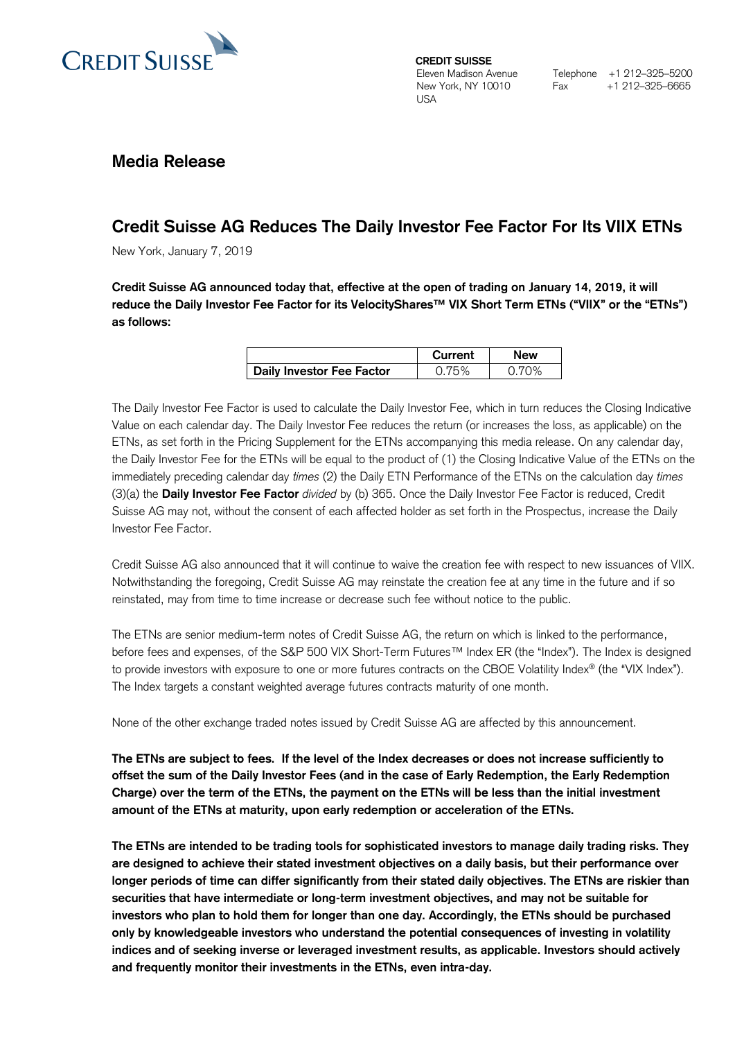

**CREDIT SUISSE**  Eleven Madison Avenue New York, NY 10010 USA

## **Media Release**

# **Credit Suisse AG Reduces The Daily Investor Fee Factor For Its VIIX ETNs**

New York, January 7, 2019

**Credit Suisse AG announced today that, effective at the open of trading on January 14, 2019, it will reduce the Daily Investor Fee Factor for its VelocityShares™ VIX Short Term ETNs ("VIIX" or the "ETNs") as follows:**

|                                  | Current | New |
|----------------------------------|---------|-----|
| <b>Daily Investor Fee Factor</b> |         |     |

The Daily Investor Fee Factor is used to calculate the Daily Investor Fee, which in turn reduces the Closing Indicative Value on each calendar day. The Daily Investor Fee reduces the return (or increases the loss, as applicable) on the ETNs, as set forth in the Pricing Supplement for the ETNs accompanying this media release. On any calendar day, the Daily Investor Fee for the ETNs will be equal to the product of (1) the Closing Indicative Value of the ETNs on the immediately preceding calendar day *times* (2) the Daily ETN Performance of the ETNs on the calculation day *times* (3)(a) the **Daily Investor Fee Factor** *divided* by (b) 365. Once the Daily Investor Fee Factor is reduced, Credit Suisse AG may not, without the consent of each affected holder as set forth in the Prospectus, increase the Daily Investor Fee Factor.

Credit Suisse AG also announced that it will continue to waive the creation fee with respect to new issuances of VIIX. Notwithstanding the foregoing, Credit Suisse AG may reinstate the creation fee at any time in the future and if so reinstated, may from time to time increase or decrease such fee without notice to the public.

The ETNs are senior medium-term notes of Credit Suisse AG, the return on which is linked to the performance, before fees and expenses, of the S&P 500 VIX Short-Term Futures™ Index ER (the "Index"). The Index is designed to provide investors with exposure to one or more futures contracts on the CBOE Volatility Index® (the "VIX Index"). The Index targets a constant weighted average futures contracts maturity of one month.

None of the other exchange traded notes issued by Credit Suisse AG are affected by this announcement.

**The ETNs are subject to fees. If the level of the Index decreases or does not increase sufficiently to offset the sum of the Daily Investor Fees (and in the case of Early Redemption, the Early Redemption Charge) over the term of the ETNs, the payment on the ETNs will be less than the initial investment amount of the ETNs at maturity, upon early redemption or acceleration of the ETNs.**

**The ETNs are intended to be trading tools for sophisticated investors to manage daily trading risks. They are designed to achieve their stated investment objectives on a daily basis, but their performance over longer periods of time can differ significantly from their stated daily objectives. The ETNs are riskier than securities that have intermediate or long-term investment objectives, and may not be suitable for investors who plan to hold them for longer than one day. Accordingly, the ETNs should be purchased only by knowledgeable investors who understand the potential consequences of investing in volatility indices and of seeking inverse or leveraged investment results, as applicable. Investors should actively and frequently monitor their investments in the ETNs, even intra-day.**